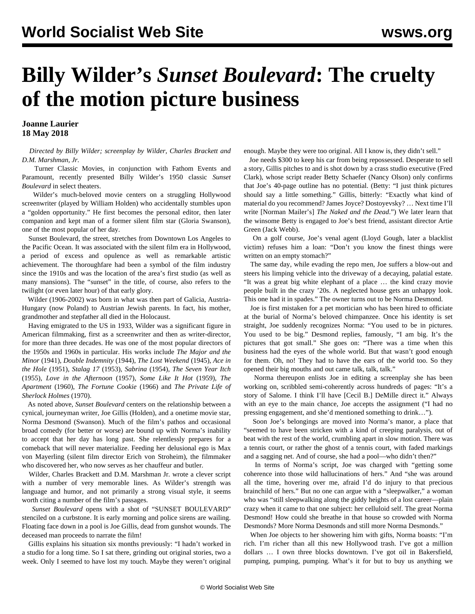## **Billy Wilder's** *Sunset Boulevard***: The cruelty of the motion picture business**

**Joanne Laurier 18 May 2018**

 *Directed by Billy Wilder; screenplay by Wilder, Charles Brackett and D.M. Marshman, Jr.*

 Turner Classic Movies, in conjunction with Fathom Events and Paramount, recently presented Billy Wilder's 1950 classic *Sunset Boulevard* in select theaters.

 Wilder's much-beloved movie centers on a struggling Hollywood screenwriter (played by William Holden) who accidentally stumbles upon a "golden opportunity." He first becomes the personal editor, then later companion and kept man of a former silent film star (Gloria Swanson), one of the most popular of her day.

 Sunset Boulevard, the street, stretches from Downtown Los Angeles to the Pacific Ocean. It was associated with the silent film era in Hollywood, a period of excess and opulence as well as remarkable artistic achievement. The thoroughfare had been a symbol of the film industry since the 1910s and was the location of the area's first studio (as well as many mansions). The "sunset" in the title, of course, also refers to the twilight (or even later hour) of that early glory.

 Wilder (1906-2002) was born in what was then part of Galicia, Austria-Hungary (now Poland) to Austrian Jewish parents. In fact, his mother, grandmother and stepfather all died in the Holocaust.

 Having emigrated to the US in 1933, Wilder was a significant figure in American filmmaking, first as a screenwriter and then as writer-director, for more than three decades. He was one of the most popular directors of the 1950s and 1960s in particular. His works include *The Major and the Minor* (1941), *Double Indemnity* (1944), *The Lost Weekend* (1945), *Ace in the Hole* (1951), *Stalag 17* (1953), *Sabrina* (1954), *The Seven Year Itch* (1955), *Love in the Afternoon* (1957), *Some Like It Hot* (1959), *The Apartment* (1960), *The Fortune Cookie* (1966) and *The Private Life of Sherlock Holmes* (1970).

 As noted above, *Sunset Boulevard* centers on the relationship between a cynical, journeyman writer, Joe Gillis (Holden), and a onetime movie star, Norma Desmond (Swanson). Much of the film's pathos and occasional broad comedy (for better or worse) are bound up with Norma's inability to accept that her day has long past. She relentlessly prepares for a comeback that will never materialize. Feeding her delusional ego is Max von Mayerling (silent film director Erich von Stroheim), the filmmaker who discovered her, who now serves as her chauffeur and butler.

 Wilder, Charles Brackett and D.M. Marshman Jr. wrote a clever script with a number of very memorable lines. As Wilder's strength was language and humor, and not primarily a strong visual style, it seems worth citing a number of the film's passages.

 *Sunset Boulevard* opens with a shot of "SUNSET BOULEVARD" stenciled on a curbstone. It is early morning and police sirens are wailing. Floating face down in a pool is Joe Gillis, dead from gunshot wounds. The deceased man proceeds to narrate the film!

 Gillis explains his situation six months previously: "I hadn't worked in a studio for a long time. So I sat there, grinding out original stories, two a week. Only I seemed to have lost my touch. Maybe they weren't original enough. Maybe they were too original. All I know is, they didn't sell."

 Joe needs \$300 to keep his car from being repossessed. Desperate to sell a story, Gillis pitches to and is shot down by a crass studio executive (Fred Clark), whose script reader Betty Schaefer (Nancy Olson) only confirms that Joe's 40-page outline has no potential. (Betty: "I just think pictures should say a little something." Gillis, bitterly: "Exactly what kind of material do you recommend? James Joyce? Dostoyevsky? … Next time I'll write [Norman Mailer's] *The Naked and the Dead*.") We later learn that the winsome Betty is engaged to Joe's best friend, assistant director Artie Green (Jack Webb).

 On a golf course, Joe's venal agent (Lloyd Gough, later a blacklist victim) refuses him a loan: "Don't you know the finest things were written on an empty stomach?"

 The same day, while evading the repo men, Joe suffers a blow-out and steers his limping vehicle into the driveway of a decaying, palatial estate. "It was a great big white elephant of a place … the kind crazy movie people built in the crazy '20s. A neglected house gets an unhappy look. This one had it in spades." The owner turns out to be Norma Desmond.

 Joe is first mistaken for a pet mortician who has been hired to officiate at the burial of Norma's beloved chimpanzee. Once his identity is set straight, Joe suddenly recognizes Norma: "You used to be in pictures. You used to be big." Desmond replies, famously, "I am big. It's the pictures that got small." She goes on: "There was a time when this business had the eyes of the whole world. But that wasn't good enough for them. Oh, no! They had to have the ears of the world too. So they opened their big mouths and out came talk, talk, talk."

 Norma thereupon enlists Joe in editing a screenplay she has been working on, scribbled semi-coherently across hundreds of pages: "It's a story of Salome. I think I'll have [Cecil B.] DeMille direct it." Always with an eye to the main chance, Joe accepts the assignment ("I had no pressing engagement, and she'd mentioned something to drink…").

 Soon Joe's belongings are moved into Norma's manor, a place that "seemed to have been stricken with a kind of creeping paralysis, out of beat with the rest of the world, crumbling apart in slow motion. There was a tennis court, or rather the ghost of a tennis court, with faded markings and a sagging net. And of course, she had a pool—who didn't then?"

 In terms of Norma's script, Joe was charged with "getting some coherence into those wild hallucinations of hers." And "she was around all the time, hovering over me, afraid I'd do injury to that precious brainchild of hers." But no one can argue with a "sleepwalker," a woman who was "still sleepwalking along the giddy heights of a lost career—plain crazy when it came to that one subject: her celluloid self. The great Norma Desmond! How could she breathe in that house so crowded with Norma Desmonds? More Norma Desmonds and still more Norma Desmonds."

 When Joe objects to her showering him with gifts, Norma boasts: "I'm rich. I'm richer than all this new Hollywood trash. I've got a million dollars … I own three blocks downtown. I've got oil in Bakersfield, pumping, pumping, pumping. What's it for but to buy us anything we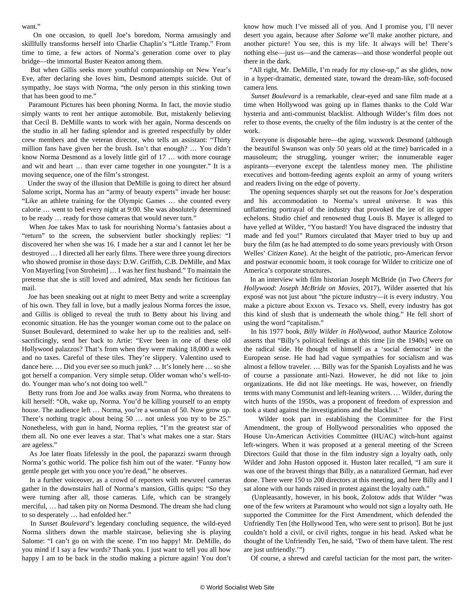On one occasion, to quell Joe's boredom, Norma amusingly and skillfully transforms herself into Charlie Chaplin's "Little Tramp." From time to time, a few actors of Norma's generation come over to play bridge—the immortal Buster Keaton among them.

 But when Gillis seeks more youthful companionship on New Year's Eve, after declaring she loves him, Desmond attempts suicide. Out of sympathy, Joe stays with Norma, "the only person in this stinking town that has been good to me."

 Paramount Pictures has been phoning Norma. In fact, the movie studio simply wants to rent her antique automobile. But, mistakenly believing that Cecil B. DeMille wants to work with her again, Norma descends on the studio in all her fading splendor and is greeted respectfully by older crew members and the veteran director, who tells an assistant: "Thirty million fans have given her the brush. Isn't that enough? … You didn't know Norma Desmond as a lovely little girl of 17 … with more courage and wit and heart … than ever came together in one youngster." It is a moving sequence, one of the film's strongest.

 Under the sway of the illusion that DeMille is going to direct her absurd Salome script, Norma has an "army of beauty experts" invade her house: "Like an athlete training for the Olympic Games … she counted every calorie … went to bed every night at 9:00. She was absolutely determined to be ready … ready for those cameras that would never turn."

 When Joe takes Max to task for nourishing Norma's fantasies about a "return" to the screen, the subservient butler shockingly replies: "I discovered her when she was 16. I made her a star and I cannot let her be destroyed … I directed all her early films. There were three young directors who showed promise in those days: D.W. Griffith, C.B. DeMille, and Max Von Mayerling [von Stroheim] … I was her first husband." To maintain the pretense that she is still loved and admired, Max sends her fictitious fan mail.

 Joe has been sneaking out at night to meet Betty and write a screenplay of his own. They fall in love, but a madly jealous Norma forces the issue, and Gillis is obliged to reveal the truth to Betty about his living and economic situation. He has the younger woman come out to the palace on Sunset Boulevard, determined to wake her up to the realities and, selfsacrificingly, send her back to Artie: "Ever been in one of these old Hollywood palazzos? That's from when they were making 18,000 a week and no taxes. Careful of these tiles. They're slippery. Valentino used to dance here. … Did you ever see so much junk? … It's lonely here … so she got herself a companion. Very simple setup. Older woman who's well-todo. Younger man who's not doing too well."

 Betty runs from Joe and Joe walks away from Norma, who threatens to kill herself: "Oh, wake up, Norma. You'd be killing yourself to an empty house. The audience left ... Norma, you're a woman of 50. Now grow up. There's nothing tragic about being 50 … not unless you try to be 25." Nonetheless, with gun in hand, Norma replies, "I'm the greatest star of them all. No one ever leaves a star. That's what makes one a star. Stars are ageless."

 As Joe later floats lifelessly in the pool, the paparazzi swarm through Norma's gothic world. The police fish him out of the water. "Funny how gentle people get with you once you're dead," he observes.

 In a further voiceover, as a crowd of reporters with newsreel cameras gather in the downstairs hall of Norma's mansion, Gillis quips: "So they were turning after all, those cameras. Life, which can be strangely merciful, … had taken pity on Norma Desmond. The dream she had clung to so desperately … had enfolded her."

 In *Sunset Boulevard's* legendary concluding sequence, the wild-eyed Norma slithers down the marble staircase, believing she is playing Salome: "I can't go on with the scene. I'm too happy! Mr. DeMille, do you mind if I say a few words? Thank you. I just want to tell you all how happy I am to be back in the studio making a picture again! You don't know how much I've missed all of you. And I promise you, I'll never desert you again, because after *Salome* we'll make another picture, and another picture! You see, this is my life. It always will be! There's nothing else—just us—and the cameras—and those wonderful people out there in the dark.

 "All right, Mr. DeMille, I'm ready for my close-up," as she glides, now in a hyper-dramatic, demented state, toward the dream-like, soft-focused camera lens.

 *Sunset Boulevard* is a remarkable, clear-eyed and sane film made at a time when Hollywood was going up in flames thanks to the Cold War hysteria and anti-communist blacklist. Although Wilder's film does not refer to those events, the cruelty of the film industry is at the center of the work.

 Everyone is disposable here—the aging, waxwork Desmond (although the beautiful Swanson was only 50 years old at the time) barricaded in a mausoleum; the struggling, younger writer; the innumerable eager aspirants—everyone except the talentless money men. The philistine executives and bottom-feeding agents exploit an army of young writers and readers living on the edge of poverty.

 The opening sequences sharply set out the reasons for Joe's desperation and his accommodation to Norma's unreal universe. It was this unflattering portrayal of the industry that provoked the ire of its upper echelons. Studio chief and renowned thug Louis B. Mayer is alleged to have yelled at Wilder, "You bastard! You have disgraced the industry that made and fed you!" Rumors circulated that Mayer tried to buy up and bury the film (as he had attempted to do some years previously with Orson Welles' *Citizen Kane*). At the height of the patriotic, pro-American fervor and postwar economic boom, it took courage for Wilder to criticize one of America's corporate structures.

 In an interview with film historian Joseph McBride (in *Two Cheers for Hollywood*: *Joseph McBride on Movies*, 2017), Wilder asserted that his exposé was not just about "the picture industry—it is every industry. You make a picture about Exxon vs. Texaco vs. Shell, every industry has got this kind of slush that is underneath the whole thing." He fell short of using the word "capitalism."

 In his 1977 book, *Billy Wilder in Hollywood*, author Maurice Zolotow asserts that "Billy's political feelings at this time [in the 1940s] were on the radical side. He thought of himself as a 'social democrat' in the European sense. He had had vague sympathies for socialism and was almost a fellow traveler. … Billy was for the Spanish Loyalists and he was of course a passionate anti-Nazi. However, he did not like to join organizations. He did not like meetings. He was, however, on friendly terms with many Communist and left-leaning writers. … Wilder, during the witch hunts of the 1950s, was a proponent of freedom of expression and took a stand against the investigations and the blacklist."

 Wilder took part in establishing the Committee for the First Amendment, the group of Hollywood personalities who opposed the House Un-American Activities Committee (HUAC) witch-hunt against left-wingers. When it was proposed at a general meeting of the Screen Directors Guild that those in the film industry sign a loyalty oath, only Wilder and John Huston opposed it. Huston later recalled, "I am sure it was one of the bravest things that Billy, as a naturalized German, had ever done. There were 150 to 200 directors at this meeting, and here Billy and I sat alone with our hands raised in protest against the loyalty oath."

 (Unpleasantly, however, in his book, Zolotow adds that Wilder "was one of the few writers at Paramount who would not sign a loyalty oath. He supported the Committee for the First Amendment, which defended the Unfriendly Ten [the Hollywood Ten, who were sent to prison]. But he just couldn't hold a civil, or civil rights, tongue in his head. Asked what he thought of the Unfriendly Ten, he said, 'Two of them have talent. The rest are just unfriendly.'")

Of course, a shrewd and careful tactician for the most part, the writer-